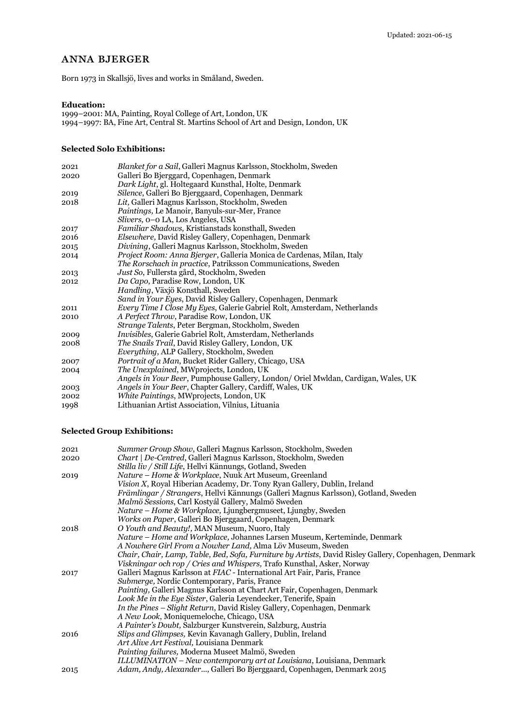# anna bjerger

Born 1973 in Skallsjö, lives and works in Småland, Sweden.

## **Education:**

1999–2001: MA, Painting, Royal College of Art, London, UK 1994–1997: BA, Fine Art, Central St. Martins School of Art and Design, London, UK

#### **Selected Solo Exhibitions:**

| 2021 | Blanket for a Sail, Galleri Magnus Karlsson, Stockholm, Sweden                    |
|------|-----------------------------------------------------------------------------------|
| 2020 | Galleri Bo Bjerggard, Copenhagen, Denmark                                         |
|      | Dark Light, gl. Holtegaard Kunsthal, Holte, Denmark                               |
| 2019 | Silence, Galleri Bo Bjerggaard, Copenhagen, Denmark                               |
| 2018 | Lit, Galleri Magnus Karlsson, Stockholm, Sweden                                   |
|      | Paintings, Le Manoir, Banyuls-sur-Mer, France                                     |
|      | Slivers, $o-o$ LA, Los Angeles, USA                                               |
| 2017 | Familiar Shadows, Kristianstads konsthall, Sweden                                 |
| 2016 | Elsewhere, David Risley Gallery, Copenhagen, Denmark                              |
| 2015 | Divining, Galleri Magnus Karlsson, Stockholm, Sweden                              |
| 2014 | <i>Project Room: Anna Bjerger, Galleria Monica de Cardenas, Milan, Italy</i>      |
|      | <i>The Rorschach in practice, Patriksson Communications, Sweden</i>               |
| 2013 | Just So, Fullersta gård, Stockholm, Sweden                                        |
| 2012 | Da Capo, Paradise Row, London, UK                                                 |
|      | Handling, Växjö Konsthall, Sweden                                                 |
|      | Sand in Your Eyes, David Risley Gallery, Copenhagen, Denmark                      |
| 2011 | <i>Every Time I Close My Eyes, Galerie Gabriel Rolt, Amsterdam, Netherlands</i>   |
| 2010 | A Perfect Throw, Paradise Row, London, UK                                         |
|      | <i>Strange Talents, Peter Bergman, Stockholm, Sweden</i>                          |
| 2009 | Invisibles, Galerie Gabriel Rolt, Amsterdam, Netherlands                          |
| 2008 | <i>The Snails Trail, David Risley Gallery, London, UK</i>                         |
|      | <i>Everything, ALP Gallery, Stockholm, Sweden</i>                                 |
| 2007 | Portrait of a Man, Bucket Rider Gallery, Chicago, USA                             |
| 2004 | The Unexplained, MWprojects, London, UK                                           |
|      | Angels in Your Beer, Pumphouse Gallery, London/ Oriel Mwldan, Cardigan, Wales, UK |
| 2003 | Angels in Your Beer, Chapter Gallery, Cardiff, Wales, UK                          |
| 2002 | White Paintings, MWprojects, London, UK                                           |
| 1998 | Lithuanian Artist Association, Vilnius, Lituania                                  |
|      |                                                                                   |

## **Selected Group Exhibitions:**

| 2021 | Summer Group Show, Galleri Magnus Karlsson, Stockholm, Sweden                                         |
|------|-------------------------------------------------------------------------------------------------------|
| 2020 | <i>Chart   De-Centred, Galleri Magnus Karlsson, Stockholm, Sweden</i>                                 |
|      | Stilla liv / Still Life, Hellvi Kännungs, Gotland, Sweden                                             |
| 2019 | Nature - Home & Workplace, Nuuk Art Museum, Greenland                                                 |
|      | Vision X, Royal Hiberian Academy, Dr. Tony Ryan Gallery, Dublin, Ireland                              |
|      | Främlingar / Strangers, Hellvi Kännungs (Galleri Magnus Karlsson), Gotland, Sweden                    |
|      | Malmö Sessions, Carl Kostyál Gallery, Malmö Sweden                                                    |
|      | Nature – Home & Workplace, Ljungbergmuseet, Ljungby, Sweden                                           |
|      | <i>Works on Paper</i> , Galleri Bo Bjerggaard, Copenhagen, Denmark                                    |
| 2018 | O Youth and Beauty!, MAN Museum, Nuoro, Italy                                                         |
|      | Nature – Home and Workplace, Johannes Larsen Museum, Kerteminde, Denmark                              |
|      | A Nowhere Girl From a Nowher Land, Alma Löv Museum, Sweden                                            |
|      | Chair, Chair, Lamp, Table, Bed, Sofa, Furniture by Artists, David Risley Gallery, Copenhagen, Denmark |
|      | Viskningar och rop / Cries and Whispers, Trafo Kunsthal, Asker, Norway                                |
| 2017 | Galleri Magnus Karlsson at FIAC - International Art Fair, Paris, France                               |
|      | Submerge, Nordic Contemporary, Paris, France                                                          |
|      | <i>Painting</i> , Galleri Magnus Karlsson at Chart Art Fair, Copenhagen, Denmark                      |
|      | Look Me in the Eye Sister, Galeria Leyendecker, Tenerife, Spain                                       |
|      | <i>In the Pines – Slight Return, David Risley Gallery, Copenhagen, Denmark</i>                        |
|      | A New Look, Moniquemeloche, Chicago, USA                                                              |
|      | A Painter's Doubt, Salzburger Kunstverein, Salzburg, Austria                                          |
| 2016 | <i>Slips and Glimpses, Kevin Kavanagh Gallery, Dublin, Ireland</i>                                    |
|      | Art Alive Art Festival, Louisiana Denmark                                                             |
|      | Painting failures, Moderna Museet Malmö, Sweden                                                       |
|      | ILLUMINATION – New contemporary art at Louisiana, Louisiana, Denmark                                  |
| 2015 | Adam, Andy, Alexander, Galleri Bo Bjerggaard, Copenhagen, Denmark 2015                                |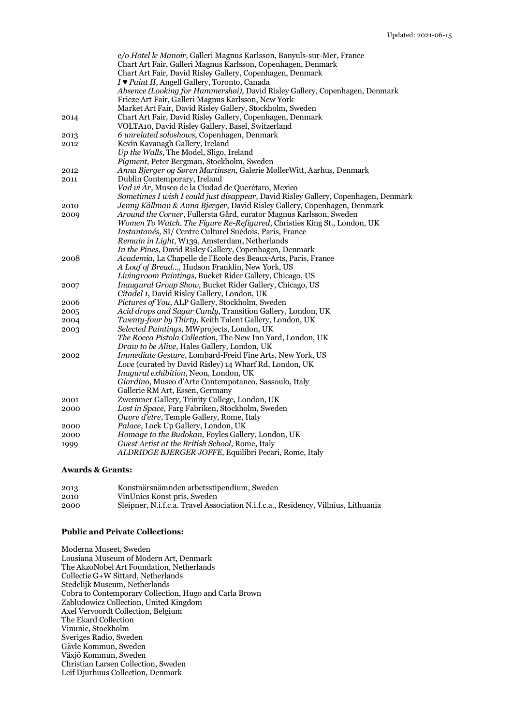|      | c/o Hotel le Manoir, Galleri Magnus Karlsson, Banyuls-sur-Mer, France                                  |
|------|--------------------------------------------------------------------------------------------------------|
|      | Chart Art Fair, Galleri Magnus Karlsson, Copenhagen, Denmark                                           |
|      | Chart Art Fair, David Risley Gallery, Copenhagen, Denmark                                              |
|      | I V Paint II, Angell Gallery, Toronto, Canada                                                          |
|      | Absence (Looking for Hammershøi), David Risley Gallery, Copenhagen, Denmark                            |
|      | Frieze Art Fair, Galleri Magnus Karlsson, New York                                                     |
|      | Market Art Fair, David Risley Gallery, Stockholm, Sweden                                               |
| 2014 | Chart Art Fair, David Risley Gallery, Copenhagen, Denmark                                              |
|      | VOLTA10, David Risley Gallery, Basel, Switzerland                                                      |
| 2013 | 6 unrelated soloshows, Copenhagen, Denmark                                                             |
| 2012 | Kevin Kavanagh Gallery, Ireland                                                                        |
|      | Up the Walls, The Model, Sligo, Ireland                                                                |
|      | Pigment, Peter Bergman, Stockholm, Sweden                                                              |
| 2012 | Anna Bjerger og Søren Martinsen, Galerie MøllerWitt, Aarhus, Denmark                                   |
| 2011 | Dublin Contemporary, Ireland                                                                           |
|      | Vad vi Är, Museo de la Ciudad de Querétaro, Mexico                                                     |
|      | Sometimes I wish I could just disappear, David Risley Gallery, Copenhagen, Denmark                     |
| 2010 | Jenny Källman & Anna Bjerger, David Risley Gallery, Copenhagen, Denmark                                |
|      | Around the Corner, Fullersta Gård, curator Magnus Karlsson, Sweden                                     |
| 2009 | Women To Watch. The Figure Re-Refigured, Christies King St., London, UK                                |
|      | Instantanés, SI/ Centre Culturel Suédois, Paris, France                                                |
|      | Remain in Light, W139, Amsterdam, Netherlands                                                          |
|      | In the Pines, David Risley Gallery, Copenhagen, Denmark                                                |
|      | Academia, La Chapelle de l'Ecole des Beaux-Arts, Paris, France                                         |
| 2008 | A Loaf of Bread, Hudson Franklin, New York, US                                                         |
|      | Livingroom Paintings, Bucket Rider Gallery, Chicago, US                                                |
|      |                                                                                                        |
| 2007 | Inaugural Group Show, Bucket Rider Gallery, Chicago, US<br>Citadel 1, David Risley Gallery, London, UK |
|      |                                                                                                        |
| 2006 | Pictures of You, ALP Gallery, Stockholm, Sweden                                                        |
| 2005 | Acid drops and Sugar Candy, Transition Gallery, London, UK                                             |
| 2004 | Twenty-four by Thirty, Keith Talent Gallery, London, UK                                                |
| 2003 | Selected Paintings, MWprojects, London, UK                                                             |
|      | The Rocca Pistola Collection, The New Inn Yard, London, UK                                             |
|      | Draw to be Alive, Hales Gallery, London, UK                                                            |
| 2002 | Immediate Gesture, Lombard-Freid Fine Arts, New York, US                                               |
|      | Love (curated by David Risley) 14 Wharf Rd, London, UK                                                 |
|      | Inagural exhibition, Neon, London, UK                                                                  |
|      | Giardino, Museo d'Arte Contempotaneo, Sassoulo, Italy                                                  |
|      | Gallerie RM Art, Essen, Germany                                                                        |
| 2001 | Zwemmer Gallery, Trinity College, London, UK                                                           |
| 2000 | Lost in Space, Farg Fabriken, Stockholm, Sweden                                                        |
|      | Ouvre d'etre, Temple Gallery, Rome, Italy                                                              |
| 2000 | Palace, Lock Up Gallery, London, UK                                                                    |
| 2000 | Homage to the Budokan, Foyles Gallery, London, UK                                                      |
| 1999 | Guest Artist at the British School, Rome, Italy                                                        |
|      | ALDRIDGE BJERGER JOFFE, Equilibri Pecari, Rome, Italy                                                  |

#### **Awards & Grants:**

| 2013 | Konstnärsnämnden arbetsstipendium, Sweden                                          |
|------|------------------------------------------------------------------------------------|
| 2010 | VinUnics Konst pris, Sweden                                                        |
| 2000 | Sleipner, N.i.f.c.a. Travel Association N.i.f.c.a., Residency, Villnius, Lithuania |

#### **Public and Private Collections:**

Moderna Museet, Sweden Lousiana Museum of Modern Art, Denmark The AkzoNobel Art Foundation, Netherlands Collectie G+W Sittard, Netherlands Stedelijk Museum, Netherlands Cobra to Contemporary Collection, Hugo and Carla Brown Zabludowicz Collection, United Kingdom Axel Vervoordt Collection, Belgium The Ekard Collection Vinunic, Stockholm Sveriges Radio, Sweden Gävle Kommun, Sweden Växjö Kommun, Sweden Christian Larsen Collection, Sweden Leif Djurhuus Collection, Denmark